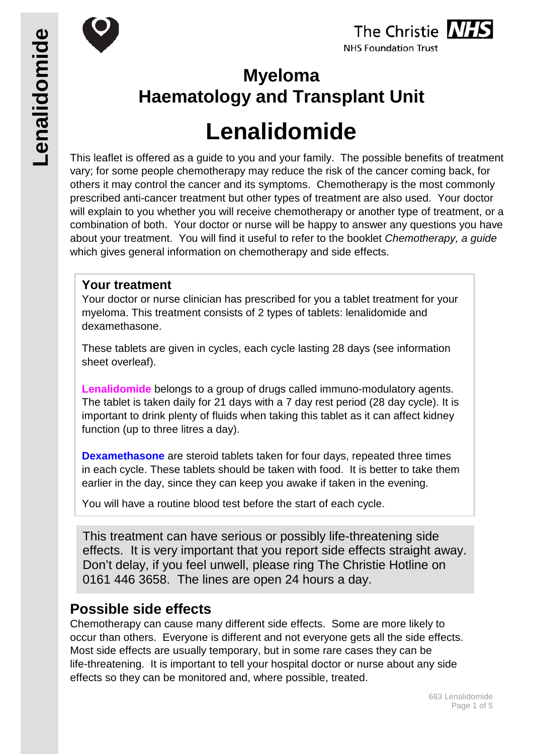





**NHS Foundation Trust** 

## **Myeloma Haematology and Transplant Unit**

# **Lenalidomide**

This leaflet is offered as a guide to you and your family. The possible benefits of treatment vary; for some people chemotherapy may reduce the risk of the cancer coming back, for others it may control the cancer and its symptoms. Chemotherapy is the most commonly prescribed anti-cancer treatment but other types of treatment are also used. Your doctor will explain to you whether you will receive chemotherapy or another type of treatment, or a combination of both. Your doctor or nurse will be happy to answer any questions you have about your treatment. You will find it useful to refer to the booklet *Chemotherapy, a guide* which gives general information on chemotherapy and side effects.

#### **Your treatment**

Your doctor or nurse clinician has prescribed for you a tablet treatment for your myeloma. This treatment consists of 2 types of tablets: lenalidomide and dexamethasone.

These tablets are given in cycles, each cycle lasting 28 days (see information sheet overleaf).

**Lenalidomide** belongs to a group of drugs called immuno-modulatory agents. The tablet is taken daily for 21 days with a 7 day rest period (28 day cycle). It is important to drink plenty of fluids when taking this tablet as it can affect kidney function (up to three litres a day).

**Dexamethasone** are steroid tablets taken for four days, repeated three times in each cycle. These tablets should be taken with food. It is better to take them earlier in the day, since they can keep you awake if taken in the evening.

You will have a routine blood test before the start of each cycle.

This treatment can have serious or possibly life-threatening side effects. It is very important that you report side effects straight away. Don't delay, if you feel unwell, please ring The Christie Hotline on 0161 446 3658. The lines are open 24 hours a day.

## **Possible side effects**

Chemotherapy can cause many different side effects. Some are more likely to occur than others. Everyone is different and not everyone gets all the side effects. Most side effects are usually temporary, but in some rare cases they can be life-threatening. It is important to tell your hospital doctor or nurse about any side effects so they can be monitored and, where possible, treated.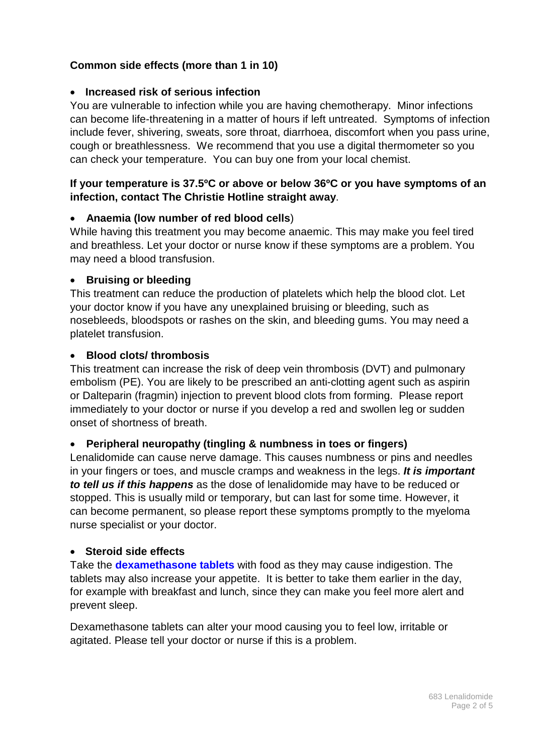#### **Common side effects (more than 1 in 10)**

#### • **Increased risk of serious infection**

You are vulnerable to infection while you are having chemotherapy. Minor infections can become life-threatening in a matter of hours if left untreated. Symptoms of infection include fever, shivering, sweats, sore throat, diarrhoea, discomfort when you pass urine, cough or breathlessness. We recommend that you use a digital thermometer so you can check your temperature. You can buy one from your local chemist.

#### **If your temperature is 37.5ºC or above or below 36ºC or you have symptoms of an infection, contact The Christie Hotline straight away**.

#### • **Anaemia (low number of red blood cells**)

While having this treatment you may become anaemic. This may make you feel tired and breathless. Let your doctor or nurse know if these symptoms are a problem. You may need a blood transfusion.

#### • **Bruising or bleeding**

This treatment can reduce the production of platelets which help the blood clot. Let your doctor know if you have any unexplained bruising or bleeding, such as nosebleeds, bloodspots or rashes on the skin, and bleeding gums. You may need a platelet transfusion.

#### • **Blood clots/ thrombosis**

This treatment can increase the risk of deep vein thrombosis (DVT) and pulmonary embolism (PE). You are likely to be prescribed an anti-clotting agent such as aspirin or Dalteparin (fragmin) injection to prevent blood clots from forming. Please report immediately to your doctor or nurse if you develop a red and swollen leg or sudden onset of shortness of breath.

#### • **Peripheral neuropathy (tingling & numbness in toes or fingers)**

Lenalidomide can cause nerve damage. This causes numbness or pins and needles in your fingers or toes, and muscle cramps and weakness in the legs. *It is important to tell us if this happens* as the dose of lenalidomide may have to be reduced or stopped. This is usually mild or temporary, but can last for some time. However, it can become permanent, so please report these symptoms promptly to the myeloma nurse specialist or your doctor.

#### • **Steroid side effects**

Take the **dexamethasone tablets** with food as they may cause indigestion. The tablets may also increase your appetite. It is better to take them earlier in the day, for example with breakfast and lunch, since they can make you feel more alert and prevent sleep.

Dexamethasone tablets can alter your mood causing you to feel low, irritable or agitated. Please tell your doctor or nurse if this is a problem.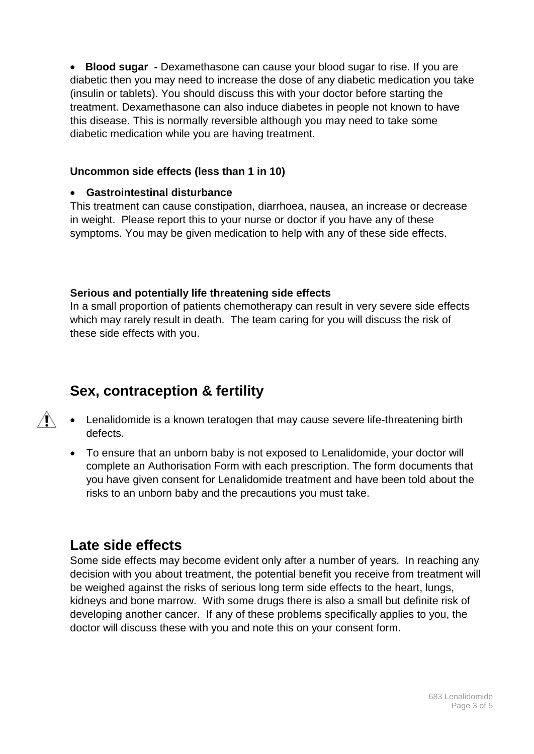• **Blood sugar -** Dexamethasone can cause your blood sugar to rise. If you are diabetic then you may need to increase the dose of any diabetic medication you take (insulin or tablets). You should discuss this with your doctor before starting the treatment. Dexamethasone can also induce diabetes in people not known to have this disease. This is normally reversible although you may need to take some diabetic medication while you are having treatment.

#### **Uncommon side effects (less than 1 in 10)**

#### • **Gastrointestinal disturbance**

This treatment can cause constipation, diarrhoea, nausea, an increase or decrease in weight. Please report this to your nurse or doctor if you have any of these symptoms. You may be given medication to help with any of these side effects.

#### **Serious and potentially life threatening side effects**

In a small proportion of patients chemotherapy can result in very severe side effects which may rarely result in death. The team caring for you will discuss the risk of these side effects with you.

## **Sex, contraception & fertility**

- $\mathbb{A}$ • Lenalidomide is a known teratogen that may cause severe life-threatening birth defects.
	- To ensure that an unborn baby is not exposed to Lenalidomide, your doctor will complete an Authorisation Form with each prescription. The form documents that you have given consent for Lenalidomide treatment and have been told about the risks to an unborn baby and the precautions you must take.

## **Late side effects**

Some side effects may become evident only after a number of years. In reaching any decision with you about treatment, the potential benefit you receive from treatment will be weighed against the risks of serious long term side effects to the heart, lungs, kidneys and bone marrow. With some drugs there is also a small but definite risk of developing another cancer. If any of these problems specifically applies to you, the doctor will discuss these with you and note this on your consent form.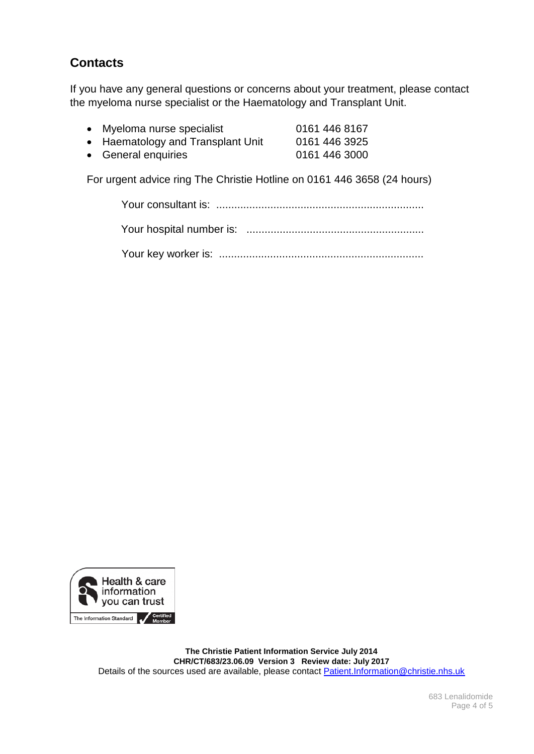### **Contacts**

If you have any general questions or concerns about your treatment, please contact the myeloma nurse specialist or the Haematology and Transplant Unit.

| • Myeloma nurse specialist        | 0161 446 8167 |
|-----------------------------------|---------------|
| • Haematology and Transplant Unit | 0161 446 3925 |
| • General enquiries               | 0161 446 3000 |

For urgent advice ring The Christie Hotline on 0161 446 3658 (24 hours)



**The Christie Patient Information Service July 2014 CHR/CT/683/23.06.09 Version 3 Review date: July 2017** Details of the sources used are available, please contact [Patient.Information@christie.nhs.uk](mailto:Patient.Information@christie.nhs.uk)